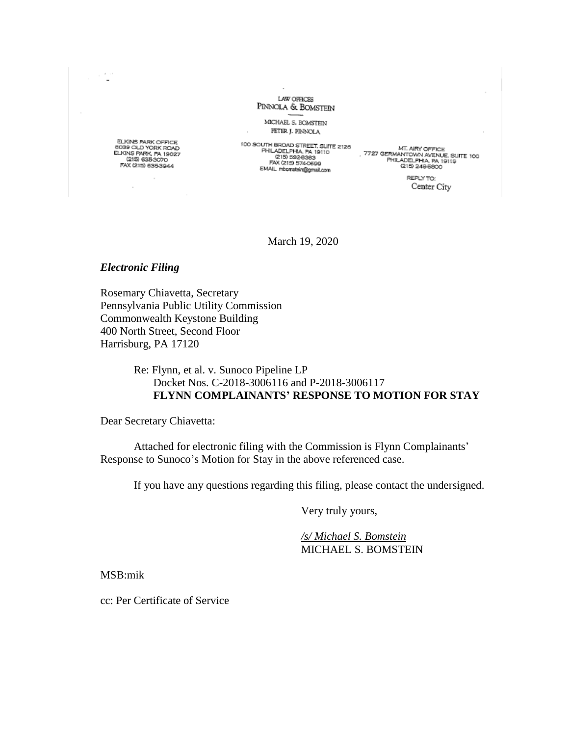LAW OFFICES PINNOLA & BOMSTEIN

MICHAEL S. BOMSTEIN PETER J. PINNOLA

ELKINS PARK OFFICE<br>6039 OLD YORK ROAD<br>ELKINS PARK, PA 19027<br>(215) 635-3070<br>FAX (215) 635-3944

 $\overline{\phantom{a}}$ 

 $\sim$ 

 $\sim 10^6$ 

100 SOUTH BROAD STREET, SUITE 2126 PHILADELPHIA, PA 19110<br>(215) 592-6383<br>FAX (215) 574-0699 EMAIL mbomstein@gmail.com

MT, AIRY OFFICE<br>7727 GERMANTOWN AVENUE, SUITE 100<br>PHILADELPHIA, PA 19119<br>(215) 249-5800

REPLY TO: Center City

March 19, 2020

### *Electronic Filing*

Rosemary Chiavetta, Secretary Pennsylvania Public Utility Commission Commonwealth Keystone Building 400 North Street, Second Floor Harrisburg, PA 17120

> Re: Flynn, et al. v. Sunoco Pipeline LP Docket Nos. C-2018-3006116 and P-2018-3006117 **FLYNN COMPLAINANTS' RESPONSE TO MOTION FOR STAY**

Dear Secretary Chiavetta:

Attached for electronic filing with the Commission is Flynn Complainants' Response to Sunoco's Motion for Stay in the above referenced case.

If you have any questions regarding this filing, please contact the undersigned.

Very truly yours,

*/s/ Michael S. Bomstein* MICHAEL S. BOMSTEIN

MSB:mik

cc: Per Certificate of Service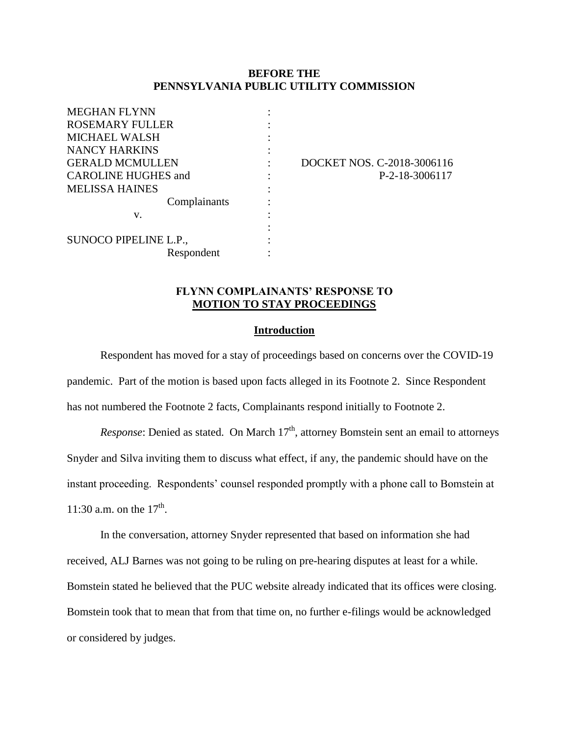### **BEFORE THE PENNSYLVANIA PUBLIC UTILITY COMMISSION**

| <b>MEGHAN FLYNN</b>        |              |  |
|----------------------------|--------------|--|
| <b>ROSEMARY FULLER</b>     |              |  |
| <b>MICHAEL WALSH</b>       |              |  |
| <b>NANCY HARKINS</b>       |              |  |
| <b>GERALD MCMULLEN</b>     |              |  |
| <b>CAROLINE HUGHES and</b> |              |  |
| <b>MELISSA HAINES</b>      |              |  |
|                            | Complainants |  |
| V.                         |              |  |
|                            |              |  |
| SUNOCO PIPELINE L.P.,      |              |  |
|                            | Respondent   |  |

: DOCKET NOS. C-2018-3006116  $P-2-18-3006117$ 

## **FLYNN COMPLAINANTS' RESPONSE TO MOTION TO STAY PROCEEDINGS**

#### **Introduction**

Respondent has moved for a stay of proceedings based on concerns over the COVID-19 pandemic. Part of the motion is based upon facts alleged in its Footnote 2. Since Respondent has not numbered the Footnote 2 facts, Complainants respond initially to Footnote 2.

*Response*: Denied as stated. On March 17<sup>th</sup>, attorney Bomstein sent an email to attorneys Snyder and Silva inviting them to discuss what effect, if any, the pandemic should have on the instant proceeding. Respondents' counsel responded promptly with a phone call to Bomstein at 11:30 a.m. on the  $17^{th}$ .

In the conversation, attorney Snyder represented that based on information she had received, ALJ Barnes was not going to be ruling on pre-hearing disputes at least for a while. Bomstein stated he believed that the PUC website already indicated that its offices were closing. Bomstein took that to mean that from that time on, no further e-filings would be acknowledged or considered by judges.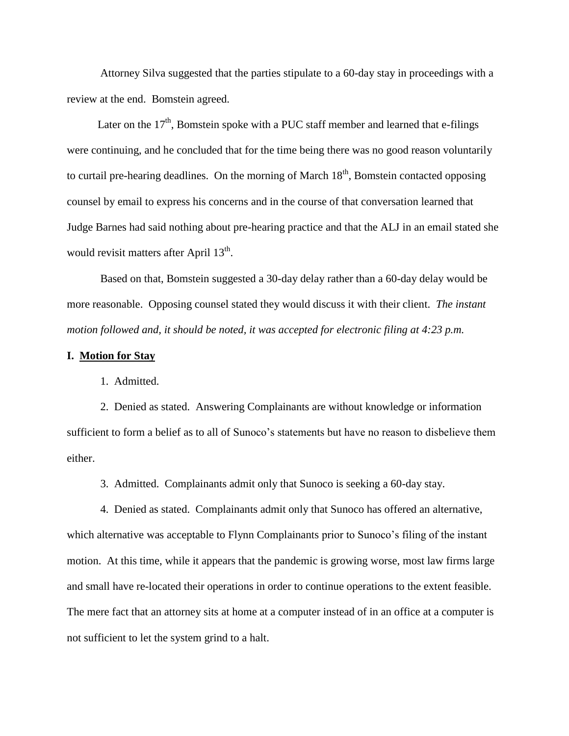Attorney Silva suggested that the parties stipulate to a 60-day stay in proceedings with a review at the end. Bomstein agreed.

Later on the  $17<sup>th</sup>$ , Bomstein spoke with a PUC staff member and learned that e-filings were continuing, and he concluded that for the time being there was no good reason voluntarily to curtail pre-hearing deadlines. On the morning of March  $18<sup>th</sup>$ , Bomstein contacted opposing counsel by email to express his concerns and in the course of that conversation learned that Judge Barnes had said nothing about pre-hearing practice and that the ALJ in an email stated she would revisit matters after April 13<sup>th</sup>.

Based on that, Bomstein suggested a 30-day delay rather than a 60-day delay would be more reasonable. Opposing counsel stated they would discuss it with their client. *The instant motion followed and, it should be noted, it was accepted for electronic filing at 4:23 p.m.*

#### **I. Motion for Stay**

1. Admitted.

2. Denied as stated. Answering Complainants are without knowledge or information sufficient to form a belief as to all of Sunoco's statements but have no reason to disbelieve them either.

3. Admitted. Complainants admit only that Sunoco is seeking a 60-day stay.

4. Denied as stated. Complainants admit only that Sunoco has offered an alternative, which alternative was acceptable to Flynn Complainants prior to Sunoco's filing of the instant motion. At this time, while it appears that the pandemic is growing worse, most law firms large and small have re-located their operations in order to continue operations to the extent feasible. The mere fact that an attorney sits at home at a computer instead of in an office at a computer is not sufficient to let the system grind to a halt.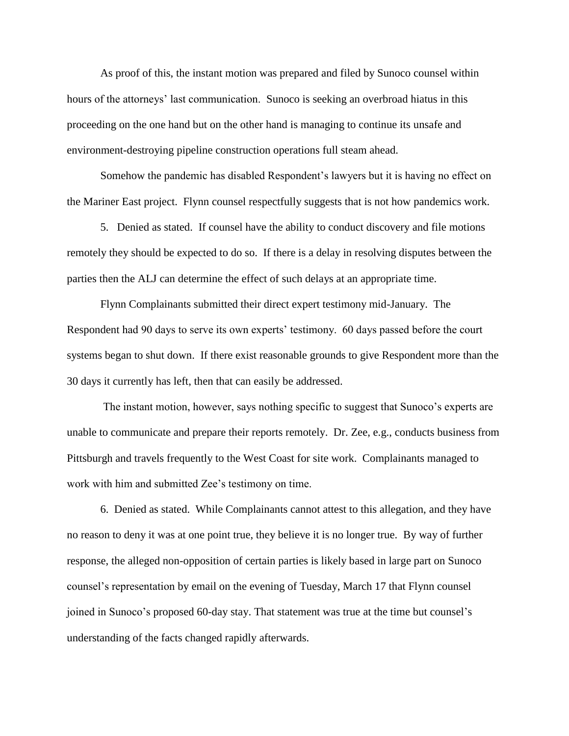As proof of this, the instant motion was prepared and filed by Sunoco counsel within hours of the attorneys' last communication. Sunoco is seeking an overbroad hiatus in this proceeding on the one hand but on the other hand is managing to continue its unsafe and environment-destroying pipeline construction operations full steam ahead.

Somehow the pandemic has disabled Respondent's lawyers but it is having no effect on the Mariner East project. Flynn counsel respectfully suggests that is not how pandemics work.

5. Denied as stated. If counsel have the ability to conduct discovery and file motions remotely they should be expected to do so. If there is a delay in resolving disputes between the parties then the ALJ can determine the effect of such delays at an appropriate time.

Flynn Complainants submitted their direct expert testimony mid-January. The Respondent had 90 days to serve its own experts' testimony. 60 days passed before the court systems began to shut down. If there exist reasonable grounds to give Respondent more than the 30 days it currently has left, then that can easily be addressed.

The instant motion, however, says nothing specific to suggest that Sunoco's experts are unable to communicate and prepare their reports remotely. Dr. Zee, e.g., conducts business from Pittsburgh and travels frequently to the West Coast for site work. Complainants managed to work with him and submitted Zee's testimony on time.

6. Denied as stated. While Complainants cannot attest to this allegation, and they have no reason to deny it was at one point true, they believe it is no longer true. By way of further response, the alleged non-opposition of certain parties is likely based in large part on Sunoco counsel's representation by email on the evening of Tuesday, March 17 that Flynn counsel joined in Sunoco's proposed 60-day stay. That statement was true at the time but counsel's understanding of the facts changed rapidly afterwards.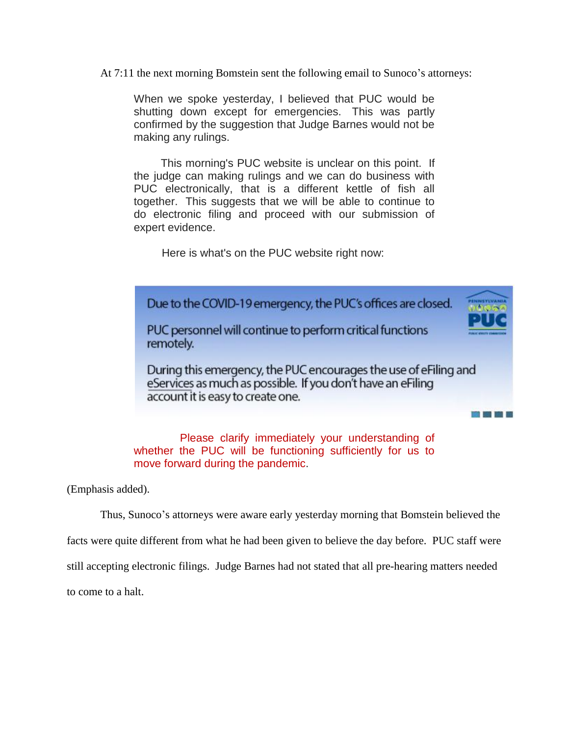At 7:11 the next morning Bomstein sent the following email to Sunoco's attorneys:

When we spoke yesterday, I believed that PUC would be shutting down except for emergencies. This was partly confirmed by the suggestion that Judge Barnes would not be making any rulings.

This morning's PUC website is unclear on this point. If the judge can making rulings and we can do business with PUC electronically, that is a different kettle of fish all together. This suggests that we will be able to continue to do electronic filing and proceed with our submission of expert evidence.

Here is what's on the PUC website right now:



(Emphasis added).

Thus, Sunoco's attorneys were aware early yesterday morning that Bomstein believed the

facts were quite different from what he had been given to believe the day before. PUC staff were

still accepting electronic filings. Judge Barnes had not stated that all pre-hearing matters needed

to come to a halt.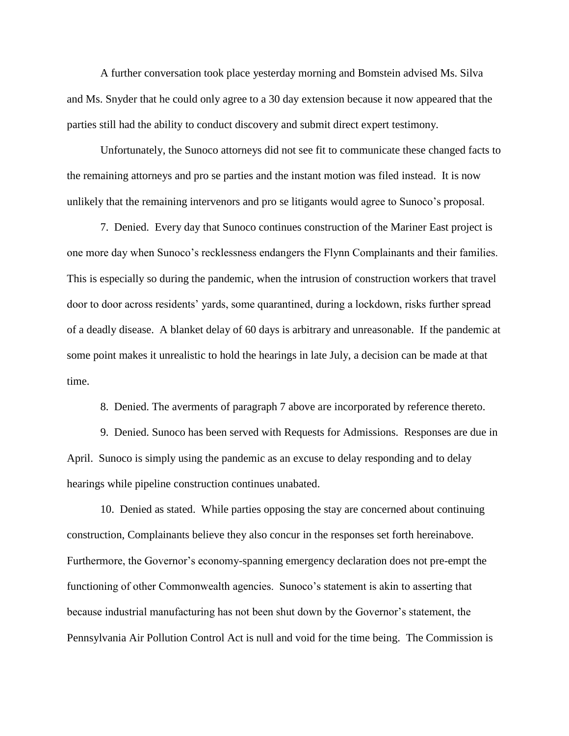A further conversation took place yesterday morning and Bomstein advised Ms. Silva and Ms. Snyder that he could only agree to a 30 day extension because it now appeared that the parties still had the ability to conduct discovery and submit direct expert testimony.

Unfortunately, the Sunoco attorneys did not see fit to communicate these changed facts to the remaining attorneys and pro se parties and the instant motion was filed instead. It is now unlikely that the remaining intervenors and pro se litigants would agree to Sunoco's proposal.

7. Denied. Every day that Sunoco continues construction of the Mariner East project is one more day when Sunoco's recklessness endangers the Flynn Complainants and their families. This is especially so during the pandemic, when the intrusion of construction workers that travel door to door across residents' yards, some quarantined, during a lockdown, risks further spread of a deadly disease. A blanket delay of 60 days is arbitrary and unreasonable. If the pandemic at some point makes it unrealistic to hold the hearings in late July, a decision can be made at that time.

8. Denied. The averments of paragraph 7 above are incorporated by reference thereto.

9. Denied. Sunoco has been served with Requests for Admissions. Responses are due in April. Sunoco is simply using the pandemic as an excuse to delay responding and to delay hearings while pipeline construction continues unabated.

10. Denied as stated. While parties opposing the stay are concerned about continuing construction, Complainants believe they also concur in the responses set forth hereinabove. Furthermore, the Governor's economy-spanning emergency declaration does not pre-empt the functioning of other Commonwealth agencies. Sunoco's statement is akin to asserting that because industrial manufacturing has not been shut down by the Governor's statement, the Pennsylvania Air Pollution Control Act is null and void for the time being. The Commission is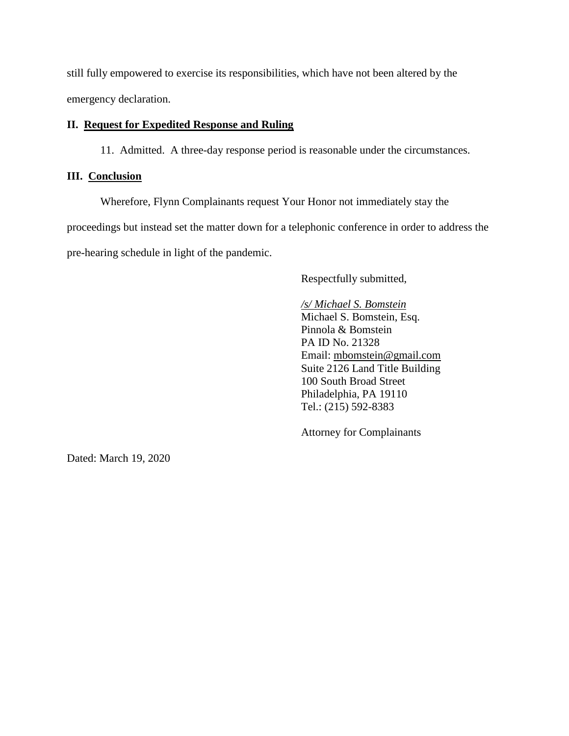still fully empowered to exercise its responsibilities, which have not been altered by the emergency declaration.

# **II. Request for Expedited Response and Ruling**

11. Admitted. A three-day response period is reasonable under the circumstances.

### **III. Conclusion**

Wherefore, Flynn Complainants request Your Honor not immediately stay the proceedings but instead set the matter down for a telephonic conference in order to address the pre-hearing schedule in light of the pandemic.

Respectfully submitted,

*/s/ Michael S. Bomstein* Michael S. Bomstein, Esq. Pinnola & Bomstein PA ID No. 21328 Email: [mbomstein@gmail.com](mailto:mbomstein@gmail.com) Suite 2126 Land Title Building 100 South Broad Street Philadelphia, PA 19110 Tel.: (215) 592-8383

Attorney for Complainants

Dated: March 19, 2020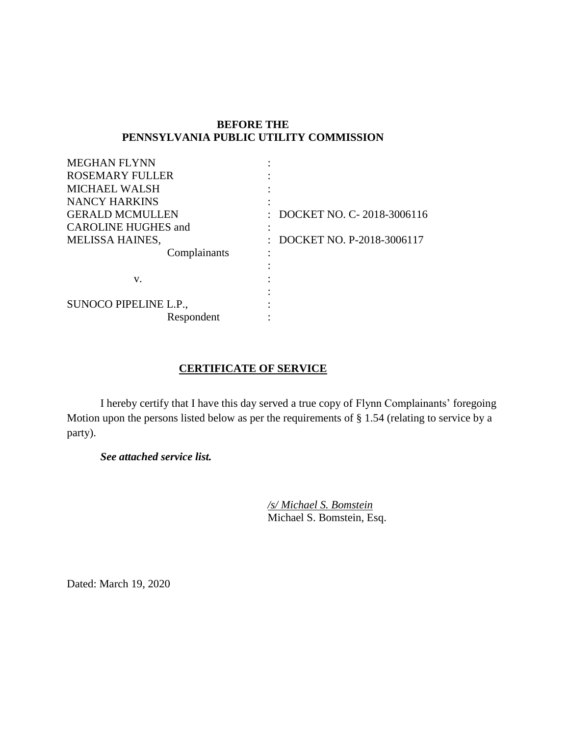# **BEFORE THE PENNSYLVANIA PUBLIC UTILITY COMMISSION**

| <b>MEGHAN FLYNN</b>        |                           |
|----------------------------|---------------------------|
| <b>ROSEMARY FULLER</b>     |                           |
| <b>MICHAEL WALSH</b>       |                           |
| <b>NANCY HARKINS</b>       |                           |
| <b>GERALD MCMULLEN</b>     | DOCKET NO. C-2018-3006116 |
| <b>CAROLINE HUGHES and</b> |                           |
| <b>MELISSA HAINES,</b>     | DOCKET NO. P-2018-3006117 |
| Complainants               |                           |
|                            |                           |
| V.                         |                           |
|                            |                           |
| SUNOCO PIPELINE L.P.,      |                           |
| Respondent                 |                           |

# **CERTIFICATE OF SERVICE**

I hereby certify that I have this day served a true copy of Flynn Complainants' foregoing Motion upon the persons listed below as per the requirements of § 1.54 (relating to service by a party).

*See attached service list.*

*/s/ Michael S. Bomstein* Michael S. Bomstein, Esq.

Dated: March 19, 2020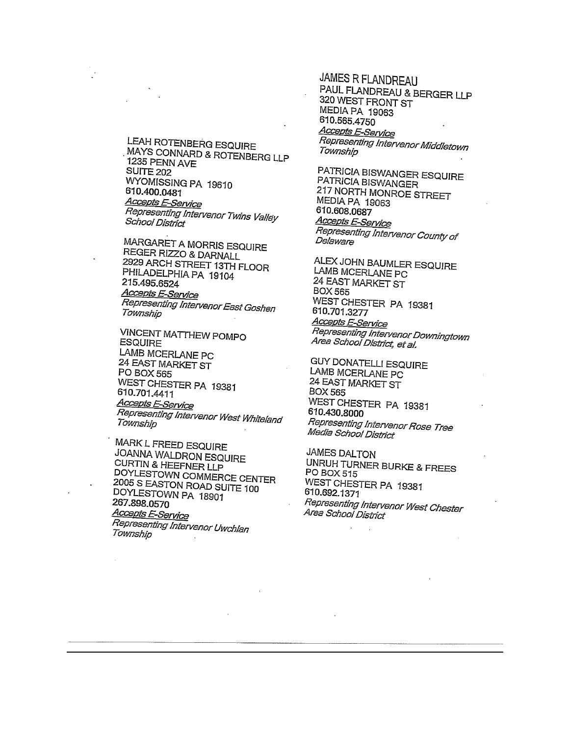**LEAH ROTENBERG ESQUIRE** MAYS CONNARD & ROTENBERG LLP 1235 PENN AVE **SUITE 202** WYOMISSING PA 19610 610.400.0481 Accepts E-Service Representing Intervenor Twins Valley School District

MARGARET A MORRIS ESQUIRE REGER RIZZO & DARNALL 2929 ARCH STREET 13TH FLOOR PHILADELPHIA PA 19104 215.495.6524 Accepts E-Service Representing Intervenor East Goshen Township

**VINCENT MATTHEW POMPO ESQUIRE** LAMB MCERLANE PC 24 EAST MARKET ST PO BOX 565 WEST CHESTER PA 19381 610.701.4411 **Accepts E-Service** Representing Intervenor West Whiteland Township

MARK L FREED ESQUIRE JOANNA WALDRON ESQUIRE **CURTIN & HEEFNER LLP** DOYLESTOWN COMMERCE CENTER 2005 S EASTON ROAD SUITE 100 DOYLESTOWN PA 18901 267.898.0570 Accepts E-Service

Representing Intervenor Uwchlan Township

**JAMES R FLANDREAU** PAUL FLANDREAU & BERGER LLP 320 WEST FRONT ST MEDIA PA 19063 610.565,4750 Accepts E-Service Representing Intervenor Middletown Township

PATRICIA BISWANGER ESQUIRE PATRICIA BISWANGER 217 NORTH MONROE STREET MEDIA PA 19063 610.608.0687 Accepts E-Service Representing Intervenor County of Delaware

ALEX JOHN BAUMLER ESQUIRE LAMB MCERLANE PC 24 EAST MARKET ST BOX 565 WEST CHESTER PA 19381 610.701.3277 **Accepts E-Service** Representing Intervenor Downingtown Area School District, et al.

**GUY DONATELLI ESQUIRE** LAMB MCERLANE PC 24 EAST MARKET ST BOX 565 WEST CHESTER PA 19381 610.430.8000 Representing Intervenor Rose Tree Media School District

**JAMES DALTON** UNRUH TURNER BURKE & FREES PO BOX 515 WEST CHESTER PA 19381 610.692.1371 Representing Intervenor West Chester Area School District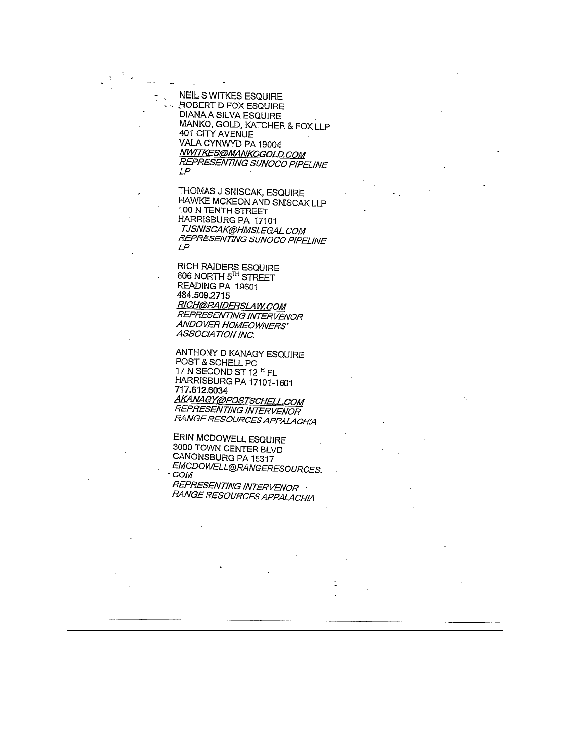**NEIL S WITKES ESQUIRE ROBERT D FOX ESQUIRE DIANA A SILVA ESQUIRE** MANKO, GOLD, KATCHER & FOX LLP 401 CITY AVENUE VALA CYNWYD PA 19004 **NWITKES@MANKOGOLD.COM** REPRESENTING SUNOCO PIPELINE  $LP$ 

THOMAS J SNISCAK, ESQUIRE HAWKE MCKEON AND SNISCAK LLP 100 N TENTH STREET HARRISBURG PA 17101 TJSNISCAK@HMSLEGAL.COM REPRESENTING SUNOCO PIPELINE  $LP$ 

**RICH RAIDERS ESQUIRE** 606 NORTH 5TH STREET READING PA 19601 484.509.2715 RICH@RAIDERSLAW.COM **REPRESENTING INTERVENOR ANDOVER HOMEOWNERS' ASSOCIATION INC.** 

ANTHONY D KANAGY ESQUIRE POST & SCHELL PC 17 N SECOND ST 12<sup>TH</sup> FL HARRISBURG PA 17101-1601 717.612.6034 AKANAGY@POSTSCHELL.COM **REPRESENTING INTERVENOR** RANGE RESOURCES APPALACHIA

**ERIN MCDOWELL ESQUIRE** 3000 TOWN CENTER BLVD CANONSBURG PA 15317 EMCDOWELL@RANGERESOURCES. COM

REPRESENTING INTERVENOR RANGE RESOURCES APPALACHIA

 $\mathbf 1$